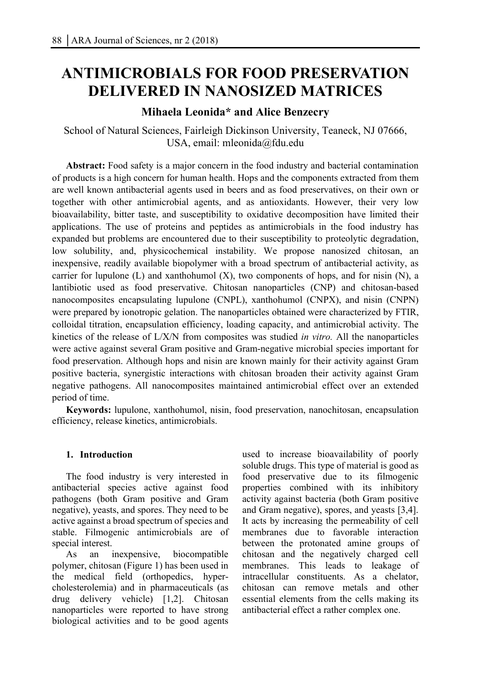# **ANTIMICROBIALS FOR FOOD PRESERVATION DELIVERED IN NANOSIZED MATRICES**

# **Mihaela Leonida\* and Alice Benzecry**

School of Natural Sciences, Fairleigh Dickinson University, Teaneck, NJ 07666, USA, email: mleonida@fdu.edu

**Abstract:** Food safety is a major concern in the food industry and bacterial contamination of products is a high concern for human health. Hops and the components extracted from them are well known antibacterial agents used in beers and as food preservatives, on their own or together with other antimicrobial agents, and as antioxidants. However, their very low bioavailability, bitter taste, and susceptibility to oxidative decomposition have limited their applications. The use of proteins and peptides as antimicrobials in the food industry has expanded but problems are encountered due to their susceptibility to proteolytic degradation, low solubility, and, physicochemical instability. We propose nanosized chitosan, an inexpensive, readily available biopolymer with a broad spectrum of antibacterial activity, as carrier for lupulone  $(L)$  and xanthohumol  $(X)$ , two components of hops, and for nisin  $(N)$ , a lantibiotic used as food preservative. Chitosan nanoparticles (CNP) and chitosan-based nanocomposites encapsulating lupulone (CNPL), xanthohumol (CNPX), and nisin (CNPN) were prepared by ionotropic gelation. The nanoparticles obtained were characterized by FTIR, colloidal titration, encapsulation efficiency, loading capacity, and antimicrobial activity. The kinetics of the release of L/X/N from composites was studied *in vitro.* All the nanoparticles were active against several Gram positive and Gram-negative microbial species important for food preservation. Although hops and nisin are known mainly for their activity against Gram positive bacteria, synergistic interactions with chitosan broaden their activity against Gram negative pathogens. All nanocomposites maintained antimicrobial effect over an extended period of time.

**Keywords:** lupulone, xanthohumol, nisin, food preservation, nanochitosan, encapsulation efficiency, release kinetics, antimicrobials.

### **1. Introduction**

The food industry is very interested in antibacterial species active against food pathogens (both Gram positive and Gram negative), yeasts, and spores. They need to be active against a broad spectrum of species and stable. Filmogenic antimicrobials are of special interest.

As an inexpensive, biocompatible polymer, chitosan (Figure 1) has been used in the medical field (orthopedics, hypercholesterolemia) and in pharmaceuticals (as drug delivery vehicle) [1,2]. Chitosan nanoparticles were reported to have strong biological activities and to be good agents

used to increase bioavailability of poorly soluble drugs. This type of material is good as food preservative due to its filmogenic properties combined with its inhibitory activity against bacteria (both Gram positive and Gram negative), spores, and yeasts [3,4]. It acts by increasing the permeability of cell membranes due to favorable interaction between the protonated amine groups of chitosan and the negatively charged cell membranes. This leads to leakage of intracellular constituents. As a chelator, chitosan can remove metals and other essential elements from the cells making its antibacterial effect a rather complex one.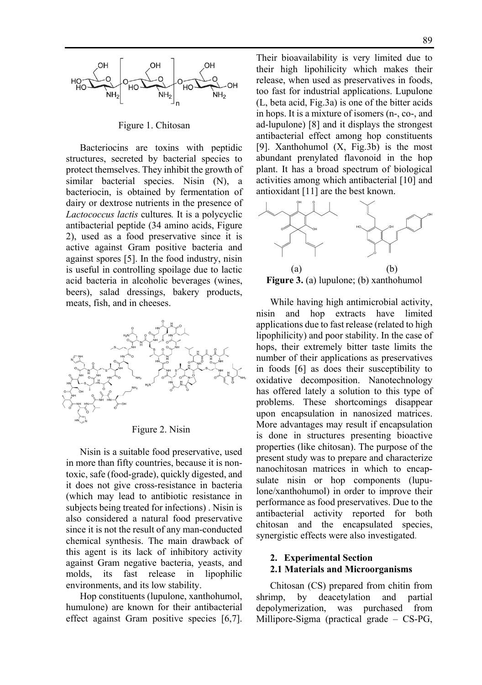

Figure 1. Chitosan

Bacteriocins are toxins with peptidic structures, secreted by bacterial species to protect themselves. They inhibit the growth of similar bacterial species. Nisin (N), a bacteriocin, is obtained by fermentation of dairy or dextrose nutrients in the presence of *Lactococcus lactis* cultures*.* It is a polycyclic antibacterial peptide (34 amino acids, Figure 2), used as a food preservative since it is active against Gram positive bacteria and against spores [5]. In the food industry, nisin is useful in controlling spoilage due to lactic acid bacteria in alcoholic beverages (wines, beers), salad dressings, bakery products, meats, fish, and in cheeses.



Figure 2. Nisin

Nisin is a suitable food preservative, used in more than fifty countries, because it is nontoxic, safe (food-grade), quickly digested, and it does not give cross-resistance in bacteria (which may lead to antibiotic resistance in subjects being treated for infections) . Nisin is also considered a natural food preservative since it is not the result of any man-conducted chemical synthesis. The main drawback of this agent is its lack of inhibitory activity against Gram negative bacteria, yeasts, and molds, its fast release in lipophilic environments, and its low stability.

Hop constituents (lupulone, xanthohumol, humulone) are known for their antibacterial effect against Gram positive species [6,7].

Their bioavailability is very limited due to their high lipohilicity which makes their release, when used as preservatives in foods, too fast for industrial applications. Lupulone (L, beta acid, Fig.3a) is one of the bitter acids in hops. It is a mixture of isomers (n-, co-, and ad-lupulone) [8] and it displays the strongest antibacterial effect among hop constituents [9]. Xanthohumol (X, Fig.3b) is the most abundant prenylated flavonoid in the hop plant. It has a broad spectrum of biological activities among which antibacterial [10] and antioxidant [11] are the best known.



**Figure 3.** (a) lupulone; (b) xanthohumol

While having high antimicrobial activity, nisin and hop extracts have limited applications due to fast release (related to high lipophilicity) and poor stability. In the case of hops, their extremely bitter taste limits the number of their applications as preservatives in foods [6] as does their susceptibility to oxidative decomposition. Nanotechnology has offered lately a solution to this type of problems. These shortcomings disappear upon encapsulation in nanosized matrices. More advantages may result if encapsulation is done in structures presenting bioactive properties (like chitosan). The purpose of the present study was to prepare and characterize nanochitosan matrices in which to encapsulate nisin or hop components (lupulone/xanthohumol) in order to improve their performance as food preservatives. Due to the antibacterial activity reported for both chitosan and the encapsulated species, synergistic effects were also investigated.

# **2. Experimental Section 2.1 Materials and Microorganisms**

Chitosan (CS) prepared from chitin from shrimp, by deacetylation and partial depolymerization, was purchased from Millipore-Sigma (practical grade – CS-PG,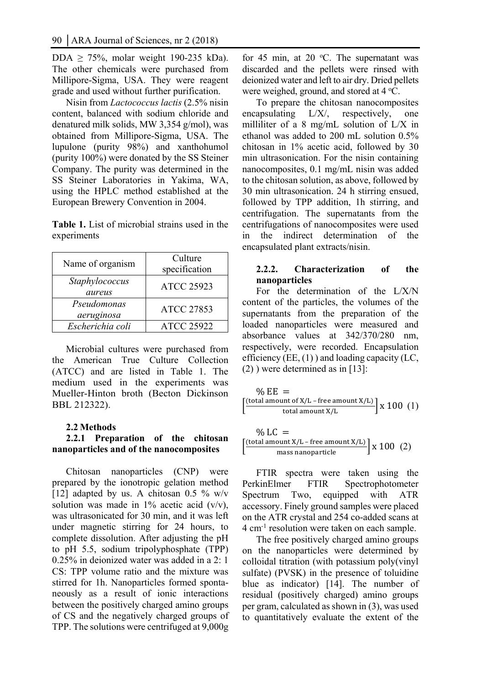DDA  $\geq$  75%, molar weight 190-235 kDa). The other chemicals were purchased from Millipore-Sigma, USA. They were reagent grade and used without further purification.

Nisin from *Lactococcus lactis* (2.5% nisin content, balanced with sodium chloride and denatured milk solids, MW 3,354 g/mol), was obtained from Millipore-Sigma, USA. The lupulone (purity 98%) and xanthohumol (purity 100%) were donated by the SS Steiner Company. The purity was determined in the SS Steiner Laboratories in Yakima, WA, using the HPLC method established at the European Brewery Convention in 2004.

**Table 1.** List of microbial strains used in the experiments

| Name of organism          | Culture<br>specification |
|---------------------------|--------------------------|
| Staphylococcus<br>aureus  | <b>ATCC 25923</b>        |
| Pseudomonas<br>aeruginosa | <b>ATCC 27853</b>        |
| Escherichia coli          | <b>ATCC 25922</b>        |

Microbial cultures were purchased from the American True Culture Collection (ATCC) and are listed in Table 1. The medium used in the experiments was Mueller-Hinton broth (Becton Dickinson BBL 212322).

#### **2.2 Methods**

# **2.2.1 Preparation of the chitosan nanoparticles and of the nanocomposites**

Chitosan nanoparticles (CNP) were prepared by the ionotropic gelation method [12] adapted by us. A chitosan 0.5 % w/v solution was made in  $1\%$  acetic acid (v/v), was ultrasonicated for 30 min, and it was left under magnetic stirring for 24 hours, to complete dissolution. After adjusting the pH to pH 5.5, sodium tripolyphosphate (TPP) 0.25% in deionized water was added in a 2: 1 CS: TPP volume ratio and the mixture was stirred for 1h. Nanoparticles formed spontaneously as a result of ionic interactions between the positively charged amino groups of CS and the negatively charged groups of TPP. The solutions were centrifuged at 9,000g

for 45 min, at 20  $^{\circ}$ C. The supernatant was discarded and the pellets were rinsed with deionized water and left to air dry. Dried pellets were weighed, ground, and stored at 4 °C.

To prepare the chitosan nanocomposites encapsulating L/X/, respectively, one milliliter of a 8 mg/mL solution of L/X in ethanol was added to 200 mL solution 0.5% chitosan in 1% acetic acid, followed by 30 min ultrasonication. For the nisin containing nanocomposites, 0.1 mg/mL nisin was added to the chitosan solution, as above, followed by 30 min ultrasonication. 24 h stirring ensued, followed by TPP addition, 1h stirring, and centrifugation. The supernatants from the centrifugations of nanocomposites were used in the indirect determination of the encapsulated plant extracts/nisin.

#### **2.2.2. Characterization of the nanoparticles**

For the determination of the L/X/N content of the particles, the volumes of the supernatants from the preparation of the loaded nanoparticles were measured and absorbance values at 342/370/280 nm, respectively, were recorded. Encapsulation efficiency (EE, (1) ) and loading capacity (LC, (2) ) were determined as in [13]:

$$
\frac{\% EE}{\left[\frac{\text{(total amount of X/L - free amount X/L)}}{\text{total amount X/L}}\right] \times 100\ (1)}
$$

$$
\% LC =
$$
\n
$$
\left[ \frac{\text{(total amount X/L - free amount X/L)}}{\text{mass nanoparticle}} \right] \times 100 \text{ (2)}
$$

FTIR spectra were taken using the PerkinElmer FTIR Spectrophotometer Spectrum Two, equipped with ATR accessory. Finely ground samples were placed on the ATR crystal and 254 co-added scans at 4 cm-1 resolution were taken on each sample.

The free positively charged amino groups on the nanoparticles were determined by colloidal titration (with potassium poly(vinyl sulfate) (PVSK) in the presence of toluidine blue as indicator) [14]. The number of residual (positively charged) amino groups per gram, calculated as shown in (3), was used to quantitatively evaluate the extent of the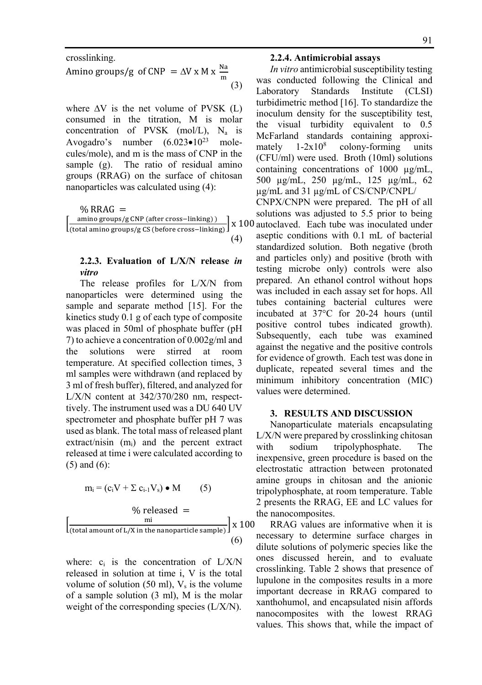crosslinking. Amino groups/g of CNP =  $\Delta V \times M \times \frac{Na}{m}$ (3)

where  $\Delta V$  is the net volume of PVSK  $(L)$ consumed in the titration, M is molar concentration of PVSK (mol/L),  $N_a$  is Avogadro's number  $(6.023 \cdot 10^{23} \text{ mole}$ cules/mole), and m is the mass of CNP in the sample (g). The ratio of residual amino groups (RRAG) on the surface of chitosan nanoparticles was calculated using (4):

% RRAG  $=$  $\left[\frac{\text{amino groups/g CNP (after cross-linking))}}{\text{(total amino groups/g CS (before cross-linking))}}\right]$  x 100 autoclaved. Each tube was inoculated under (4)

# **2.2.3. Evaluation of L/X/N release** *in vitro*

The release profiles for L/X/N from nanoparticles were determined using the sample and separate method [15]. For the kinetics study 0.1 g of each type of composite was placed in 50ml of phosphate buffer (pH 7) to achieve a concentration of 0.002g/ml and the solutions were stirred at room temperature. At specified collection times, 3 ml samples were withdrawn (and replaced by 3 ml of fresh buffer), filtered, and analyzed for L/X/N content at 342/370/280 nm, respecttively. The instrument used was a DU 640 UV spectrometer and phosphate buffer pH 7 was used as blank. The total mass of released plant extract/nisin  $(m<sub>i</sub>)$  and the percent extract released at time i were calculated according to (5) and (6):

$$
m_i = (c_i V + \Sigma c_{i-1} V_s) \bullet M \qquad (5)
$$

$$
\% \text{ released } =
$$
\n
$$
\left[\frac{\text{mi}}{(\text{total amount of L/X in the nanoparticle sample})}\right] \times 100
$$
\n
$$
(6)
$$

where:  $c_i$  is the concentration of  $L/X/N$ released in solution at time i, V is the total volume of solution (50 ml),  $V_s$  is the volume of a sample solution (3 ml), M is the molar weight of the corresponding species (L/X/N).

#### **2.2.4. Antimicrobial assays**

*In vitro* antimicrobial susceptibility testing was conducted following the Clinical and Laboratory Standards Institute (CLSI) turbidimetric method [16]. To standardize the inoculum density for the susceptibility test, the visual turbidity equivalent to 0.5 McFarland standards containing approximately  $1-2x10<sup>8</sup>$  colony-forming units (CFU/ml) were used. Broth (10ml) solutions containing concentrations of  $1000 \text{ ue/mL}$ . 500 µg/mL, 250 µg/mL, 125 µg/mL, 62 µg/mL and 31 µg/mL of CS/CNP/CNPL/

CNPX/CNPN were prepared. The pH of all solutions was adjusted to 5.5 prior to being aseptic conditions with 0.1 mL of bacterial standardized solution. Both negative (broth and particles only) and positive (broth with testing microbe only) controls were also prepared. An ethanol control without hops was included in each assay set for hops. All tubes containing bacterial cultures were incubated at 37°C for 20-24 hours (until positive control tubes indicated growth). Subsequently, each tube was examined against the negative and the positive controls for evidence of growth. Each test was done in duplicate, repeated several times and the minimum inhibitory concentration (MIC) values were determined.

#### **3. RESULTS AND DISCUSSION**

Nanoparticulate materials encapsulating L/X/N were prepared by crosslinking chitosan with sodium tripolyphosphate. The inexpensive, green procedure is based on the electrostatic attraction between protonated amine groups in chitosan and the anionic tripolyphosphate, at room temperature. Table 2 presents the RRAG, EE and LC values for the nanocomposites.

RRAG values are informative when it is necessary to determine surface charges in dilute solutions of polymeric species like the ones discussed herein, and to evaluate crosslinking. Table 2 shows that presence of lupulone in the composites results in a more important decrease in RRAG compared to xanthohumol, and encapsulated nisin affords nanocomposites with the lowest RRAG values. This shows that, while the impact of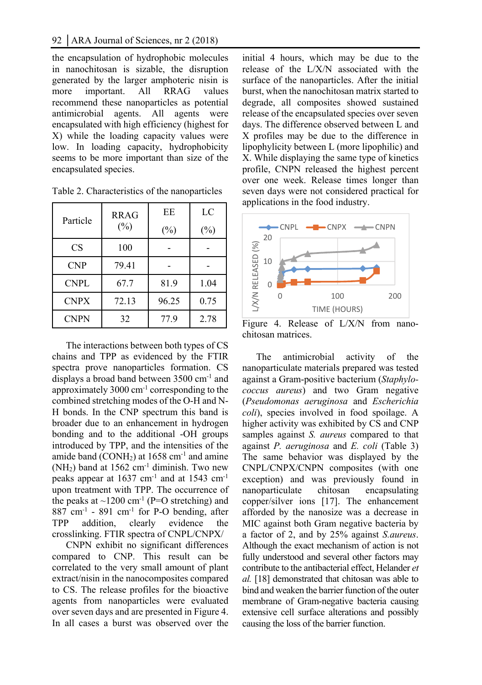the encapsulation of hydrophobic molecules in nanochitosan is sizable, the disruption generated by the larger amphoteric nisin is more important. All RRAG values recommend these nanoparticles as potential antimicrobial agents. All agents were encapsulated with high efficiency (highest for X) while the loading capacity values were low. In loading capacity, hydrophobicity seems to be more important than size of the encapsulated species.

| Particle    | RRAG<br>$(\%)$ | ЕE<br>$(\%)$ | LC<br>$(\%)$ |  |
|-------------|----------------|--------------|--------------|--|
| <b>CS</b>   | 100            |              |              |  |
| <b>CNP</b>  | 79.41          |              |              |  |
| CNPL        | 67.7           | 81.9         | 1.04         |  |
| <b>CNPX</b> | 72.13          | 96.25        | 0.75         |  |
| CNPN        | 32             | 77.9         | 2.78         |  |

Table 2. Characteristics of the nanoparticles

The interactions between both types of CS chains and TPP as evidenced by the FTIR spectra prove nanoparticles formation. CS displays a broad band between 3500 cm<sup>-1</sup> and approximately 3000 cm-1 corresponding to the combined stretching modes of the O-H and N-H bonds. In the CNP spectrum this band is broader due to an enhancement in hydrogen bonding and to the additional -OH groups introduced by TPP, and the intensities of the amide band (CONH<sub>2</sub>) at  $1658 \text{ cm}^{-1}$  and amine  $(NH<sub>2</sub>)$  band at 1562 cm<sup>-1</sup> diminish. Two new peaks appear at  $1637$  cm<sup>-1</sup> and at  $1543$  cm<sup>-1</sup> upon treatment with TPP. The occurrence of the peaks at  $\sim$ 1200 cm<sup>-1</sup> (P=O stretching) and  $887$  cm<sup>-1</sup> -  $891$  cm<sup>-1</sup> for P-O bending, after TPP addition, clearly evidence the crosslinking. FTIR spectra of CNPL/CNPX/

CNPN exhibit no significant differences compared to CNP. This result can be correlated to the very small amount of plant extract/nisin in the nanocomposites compared to CS. The release profiles for the bioactive agents from nanoparticles were evaluated over seven days and are presented in Figure 4. In all cases a burst was observed over the initial 4 hours, which may be due to the release of the L/X/N associated with the surface of the nanoparticles. After the initial burst, when the nanochitosan matrix started to degrade, all composites showed sustained release of the encapsulated species over seven days. The difference observed between L and X profiles may be due to the difference in lipophylicity between L (more lipophilic) and X. While displaying the same type of kinetics profile, CNPN released the highest percent over one week. Release times longer than seven days were not considered practical for applications in the food industry.



Figure 4. Release of L/X/N from nanochitosan matrices.

The antimicrobial activity of the nanoparticulate materials prepared was tested against a Gram-positive bacterium (*Staphylococcus aureus*) and two Gram negative (*Pseudomonas aeruginosa* and *Escherichia coli*), species involved in food spoilage. A higher activity was exhibited by CS and CNP samples against *S. aureus* compared to that against *P. aeruginosa* and *E. coli* (Table 3) The same behavior was displayed by the CNPL/CNPX/CNPN composites (with one exception) and was previously found in nanoparticulate chitosan encapsulating copper/silver ions [17]. The enhancement afforded by the nanosize was a decrease in MIC against both Gram negative bacteria by a factor of 2, and by 25% against *S.aureus*. Although the exact mechanism of action is not fully understood and several other factors may contribute to the antibacterial effect, Helander *et al.* [18] demonstrated that chitosan was able to bind and weaken the barrier function of the outer membrane of Gram-negative bacteria causing extensive cell surface alterations and possibly causing the loss of the barrier function.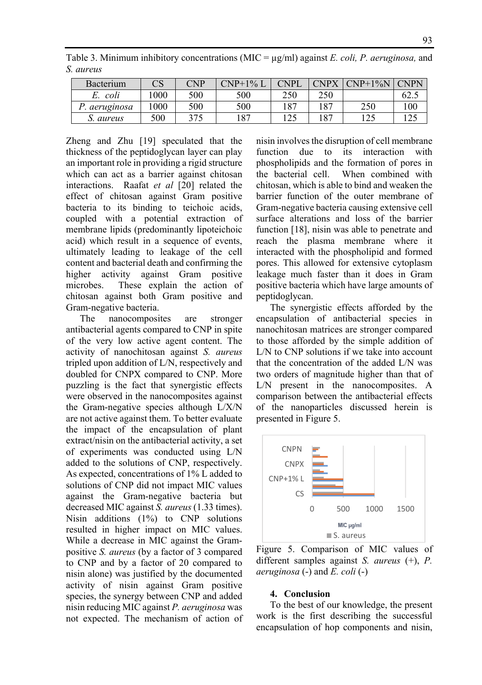Table 3. Minimum inhibitory concentrations (MIC = µg/ml) against *E. coli, P. aeruginosa,* and *S. aureus* 

| Bacterium     | CS   | CNP | $CNP+1\%$ L | <b>CNPI</b> | <b>CNPX</b> | $CNP+1\%N$ | <b>CNPN</b> |
|---------------|------|-----|-------------|-------------|-------------|------------|-------------|
| coli<br>E.    | 1000 | 500 | 500         | 250         | 250         |            | 62.5        |
| P. aeruginosa | 1000 | 500 | 500         | 187         | 187         | 250        | 100         |
| S. aureus     | 500  | 375 | 187         | l 25        | 187         | 125        |             |

Zheng and Zhu [19] speculated that the thickness of the peptidoglycan layer can play an important role in providing a rigid structure which can act as a barrier against chitosan interactions. Raafat *et al* [20] related the effect of chitosan against Gram positive bacteria to its binding to teichoic acids, coupled with a potential extraction of membrane lipids (predominantly lipoteichoic acid) which result in a sequence of events, ultimately leading to leakage of the cell content and bacterial death and confirming the higher activity against Gram positive microbes. These explain the action of chitosan against both Gram positive and Gram-negative bacteria.

The nanocomposites are stronger antibacterial agents compared to CNP in spite of the very low active agent content. The activity of nanochitosan against *S. aureus*  tripled upon addition of L/N, respectively and doubled for CNPX compared to CNP. More puzzling is the fact that synergistic effects were observed in the nanocomposites against the Gram-negative species although L/X/N are not active against them. To better evaluate the impact of the encapsulation of plant extract/nisin on the antibacterial activity, a set of experiments was conducted using L/N added to the solutions of CNP, respectively. As expected, concentrations of 1% L added to solutions of CNP did not impact MIC values against the Gram-negative bacteria but decreased MIC against *S. aureus* (1.33 times). Nisin additions (1%) to CNP solutions resulted in higher impact on MIC values. While a decrease in MIC against the Grampositive *S. aureus* (by a factor of 3 compared to CNP and by a factor of 20 compared to nisin alone) was justified by the documented activity of nisin against Gram positive species, the synergy between CNP and added nisin reducing MIC against *P. aeruginosa* was not expected. The mechanism of action of nisin involves the disruption of cell membrane function due to its interaction with phospholipids and the formation of pores in the bacterial cell. When combined with chitosan, which is able to bind and weaken the barrier function of the outer membrane of Gram-negative bacteria causing extensive cell surface alterations and loss of the barrier function [18], nisin was able to penetrate and reach the plasma membrane where it interacted with the phospholipid and formed pores. This allowed for extensive cytoplasm leakage much faster than it does in Gram positive bacteria which have large amounts of peptidoglycan.

The synergistic effects afforded by the encapsulation of antibacterial species in nanochitosan matrices are stronger compared to those afforded by the simple addition of L/N to CNP solutions if we take into account that the concentration of the added L/N was two orders of magnitude higher than that of L/N present in the nanocomposites. A comparison between the antibacterial effects of the nanoparticles discussed herein is presented in Figure 5.



Figure 5. Comparison of MIC values of different samples against *S. aureus* (+), *P. aeruginosa* (-) and *E. coli* (-)

#### **4. Conclusion**

To the best of our knowledge, the present work is the first describing the successful encapsulation of hop components and nisin,